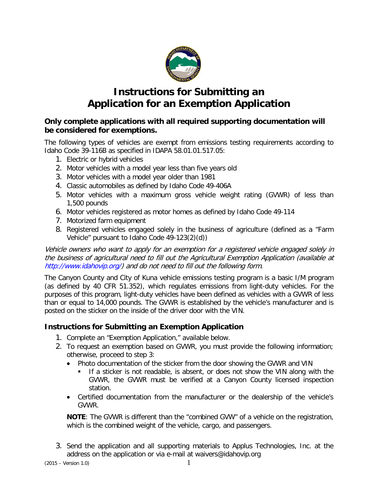

# **Instructions for Submitting an Application for an Exemption Application**

#### **Only complete applications with all required supporting documentation will be considered for exemptions.**

The following types of vehicles are exempt from emissions testing requirements according to Idaho Code 39-116B as specified in IDAPA 58.01.01.517.05:

- 1. Electric or hybrid vehicles
- 2. Motor vehicles with a model year less than five years old
- 3. Motor vehicles with a model year older than 1981
- 4. Classic automobiles as defined by Idaho Code 49-406A
- 5. Motor vehicles with a maximum gross vehicle weight rating (GVWR) of less than 1,500 pounds
- 6. Motor vehicles registered as motor homes as defined by Idaho Code 49-114
- 7. Motorized farm equipment
- 8. Registered vehicles engaged solely in the business of agriculture (defined as a "Farm Vehicle" pursuant to Idaho Code 49-123(2)(d))

Vehicle owners who want to apply for an exemption for a registered vehicle engaged solely in the business of agricultural need to fill out the Agricultural Exemption Application (available at [http://www.idahovip.org/\)](http://www.idahovip.org/) and do not need to fill out the following form.

The Canyon County and City of Kuna vehicle emissions testing program is a basic I/M program (as defined by 40 CFR 51.352), which regulates emissions from light-duty vehicles. For the purposes of this program, light-duty vehicles have been defined as vehicles with a GVWR of less than or equal to 14,000 pounds. The GVWR is established by the vehicle's manufacturer and is posted on the sticker on the inside of the driver door with the VIN.

### **Instructions for Submitting an Exemption Application**

- 1. Complete an "Exemption Application," available below.
- 2. To request an exemption based on GVWR, you must provide the following information; otherwise, proceed to step 3:
	- Photo documentation of the sticker from the door showing the GVWR and VIN
		- If a sticker is not readable, is absent, or does not show the VIN along with the GVWR, the GVWR must be verified at a Canyon County licensed inspection station.
	- Certified documentation from the manufacturer or the dealership of the vehicle's GVWR.

**NOTE**: The GVWR is different than the "combined GVW" of a vehicle on the registration, which is the combined weight of the vehicle, cargo, and passengers.

3. Send the application and all supporting materials to Applus Technologies, Inc. at the address on the application or via e-mail at waivers@idahovip.org